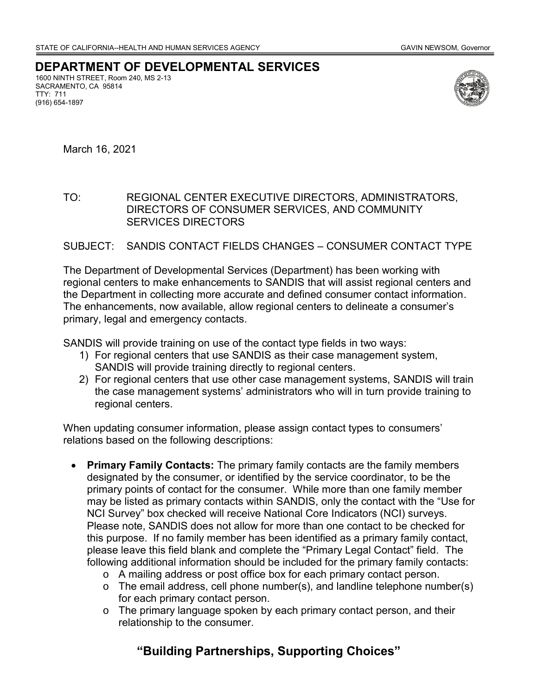## **DEPARTMENT OF DEVELOPMENTAL SERVICES**

1600 NINTH STREET, Room 240, MS 2-13 SACRAMENTO, CA 95814 TTY: 711 (916) 654-1897



March 16, 2021

## TO: REGIONAL CENTER EXECUTIVE DIRECTORS, ADMINISTRATORS, DIRECTORS OF CONSUMER SERVICES, AND COMMUNITY SERVICES DIRECTORS

## SUBJECT: SANDIS CONTACT FIELDS CHANGES – CONSUMER CONTACT TYPE

The Department of Developmental Services (Department) has been working with regional centers to make enhancements to SANDIS that will assist regional centers and the Department in collecting more accurate and defined consumer contact information. The enhancements, now available, allow regional centers to delineate a consumer's primary, legal and emergency contacts.

SANDIS will provide training on use of the contact type fields in two ways:

- 1) For regional centers that use SANDIS as their case management system, SANDIS will provide training directly to regional centers.
- 2) For regional centers that use other case management systems, SANDIS will train the case management systems' administrators who will in turn provide training to regional centers.

When updating consumer information, please assign contact types to consumers' relations based on the following descriptions:

- **Primary Family Contacts:** The primary family contacts are the family members designated by the consumer, or identified by the service coordinator, to be the primary points of contact for the consumer. While more than one family member may be listed as primary contacts within SANDIS, only the contact with the "Use for NCI Survey" box checked will receive National Core Indicators (NCI) surveys. Please note, SANDIS does not allow for more than one contact to be checked for this purpose. If no family member has been identified as a primary family contact, please leave this field blank and complete the "Primary Legal Contact" field. The following additional information should be included for the primary family contacts:
	- o A mailing address or post office box for each primary contact person.
	- o The email address, cell phone number(s), and landline telephone number(s) for each primary contact person.
	- o The primary language spoken by each primary contact person, and their relationship to the consumer.

## **"Building Partnerships, Supporting Choices"**